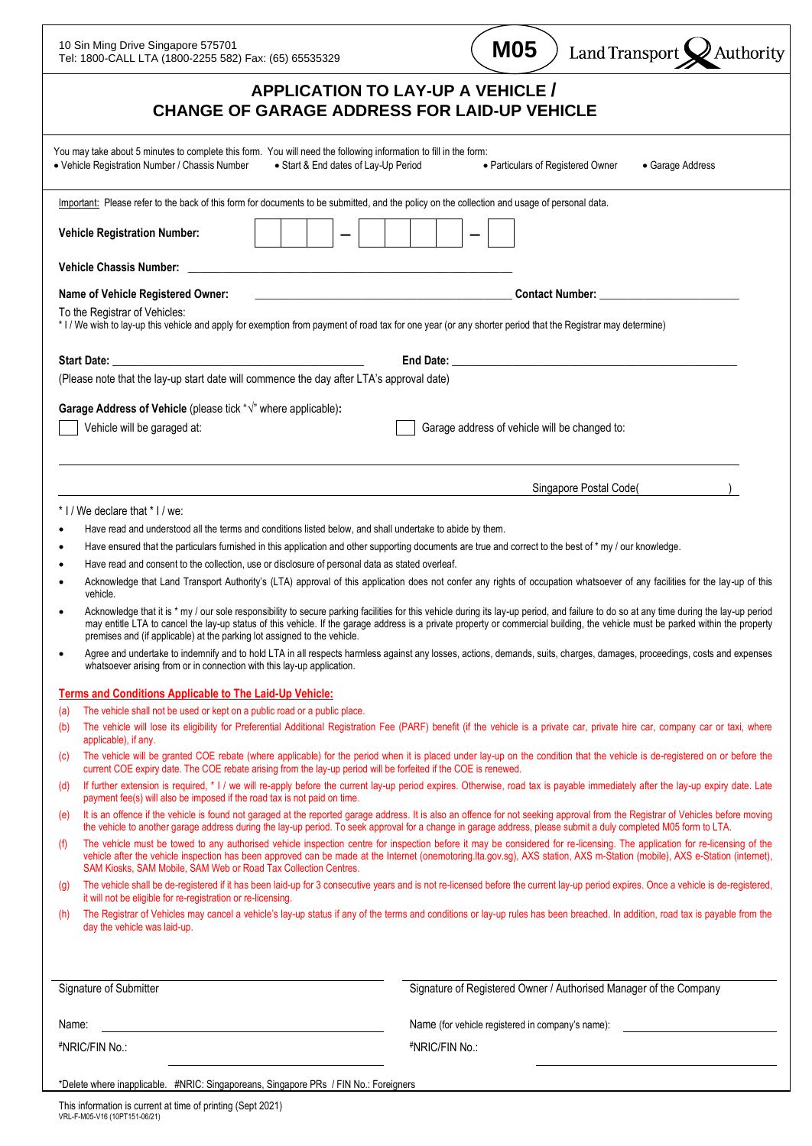| <b>M05</b><br>10 Sin Ming Drive Singapore 575701<br>Land Transport X Authority<br>Tel: 1800-CALL LTA (1800-2255 582) Fax: (65) 65535329                                                                                                                                                                                                                                                                                                                |  |
|--------------------------------------------------------------------------------------------------------------------------------------------------------------------------------------------------------------------------------------------------------------------------------------------------------------------------------------------------------------------------------------------------------------------------------------------------------|--|
| <b>APPLICATION TO LAY-UP A VEHICLE /</b><br><b>CHANGE OF GARAGE ADDRESS FOR LAID-UP VEHICLE</b>                                                                                                                                                                                                                                                                                                                                                        |  |
| You may take about 5 minutes to complete this form. You will need the following information to fill in the form:<br>• Vehicle Registration Number / Chassis Number<br>• Start & End dates of Lay-Up Period<br>• Particulars of Registered Owner<br>• Garage Address                                                                                                                                                                                    |  |
| Important: Please refer to the back of this form for documents to be submitted, and the policy on the collection and usage of personal data.                                                                                                                                                                                                                                                                                                           |  |
| <b>Vehicle Registration Number:</b>                                                                                                                                                                                                                                                                                                                                                                                                                    |  |
| <b>Vehicle Chassis Number:</b>                                                                                                                                                                                                                                                                                                                                                                                                                         |  |
| Name of Vehicle Registered Owner:<br><u> 1990 - Johann John Stein, mars et al. (</u>                                                                                                                                                                                                                                                                                                                                                                   |  |
| To the Registrar of Vehicles:<br>* I / We wish to lay-up this vehicle and apply for exemption from payment of road tax for one year (or any shorter period that the Registrar may determine)                                                                                                                                                                                                                                                           |  |
| Start Date: <u>Andrea Barbara and Barbara and Barbara and Barbara and Barbara and Barbara and Barbara and Barbara and Barbara and Barbara and Barbara and Barbara and Barbara and Barbara and Barbara and Barbara and Barbara an</u>                                                                                                                                                                                                                   |  |
| (Please note that the lay-up start date will commence the day after LTA's approval date)                                                                                                                                                                                                                                                                                                                                                               |  |
|                                                                                                                                                                                                                                                                                                                                                                                                                                                        |  |
| Garage Address of Vehicle (please tick " $\sqrt{ }$ " where applicable):<br>Vehicle will be garaged at:<br>Garage address of vehicle will be changed to:                                                                                                                                                                                                                                                                                               |  |
| Singapore Postal Code(                                                                                                                                                                                                                                                                                                                                                                                                                                 |  |
| * I / We declare that * I / we:                                                                                                                                                                                                                                                                                                                                                                                                                        |  |
| Have read and understood all the terms and conditions listed below, and shall undertake to abide by them.                                                                                                                                                                                                                                                                                                                                              |  |
| Have ensured that the particulars furnished in this application and other supporting documents are true and correct to the best of * my / our knowledge.                                                                                                                                                                                                                                                                                               |  |
| Have read and consent to the collection, use or disclosure of personal data as stated overleaf.<br>Acknowledge that Land Transport Authority's (LTA) approval of this application does not confer any rights of occupation whatsoever of any facilities for the lay-up of this<br>vehicle.                                                                                                                                                             |  |
| Acknowledge that it is * my / our sole responsibility to secure parking facilities for this vehicle during its lay-up period, and failure to do so at any time during the lay-up period<br>may entitle LTA to cancel the lay-up status of this vehicle. If the garage address is a private property or commercial building, the vehicle must be parked within the property<br>premises and (if applicable) at the parking lot assigned to the vehicle. |  |
| Agree and undertake to indemnify and to hold LTA in all respects harmless against any losses, actions, demands, suits, charges, damages, proceedings, costs and expenses<br>whatsoever arising from or in connection with this lay-up application.                                                                                                                                                                                                     |  |
| <b>Terms and Conditions Applicable to The Laid-Up Vehicle:</b>                                                                                                                                                                                                                                                                                                                                                                                         |  |
| The vehicle shall not be used or kept on a public road or a public place.<br>(a)<br>The vehicle will lose its eligibility for Preferential Additional Registration Fee (PARF) benefit (if the vehicle is a private car, private hire car, company car or taxi, where<br>(b)<br>applicable), if any.                                                                                                                                                    |  |
| The vehicle will be granted COE rebate (where applicable) for the period when it is placed under lay-up on the condition that the vehicle is de-registered on or before the<br>(c)<br>current COE expiry date. The COE rebate arising from the lay-up period will be forfeited if the COE is renewed.                                                                                                                                                  |  |
| If further extension is required, * I / we will re-apply before the current lay-up period expires. Otherwise, road tax is payable immediately after the lay-up expiry date. Late<br>(d)<br>payment fee(s) will also be imposed if the road tax is not paid on time.                                                                                                                                                                                    |  |
| It is an offence if the vehicle is found not garaged at the reported garage address. It is also an offence for not seeking approval from the Registrar of Vehicles before moving<br>(e)<br>the vehicle to another garage address during the lay-up period. To seek approval for a change in garage address, please submit a duly completed M05 form to LTA.                                                                                            |  |
| The vehicle must be towed to any authorised vehicle inspection centre for inspection before it may be considered for re-licensing. The application for re-licensing of the<br>(f)<br>vehicle after the vehicle inspection has been approved can be made at the Internet (onemotoring.Ita.gov.sg), AXS station, AXS m-Station (mobile), AXS e-Station (internet),<br>SAM Kiosks, SAM Mobile, SAM Web or Road Tax Collection Centres.                    |  |
| The vehicle shall be de-registered if it has been laid-up for 3 consecutive years and is not re-licensed before the current lay-up period expires. Once a vehicle is de-registered,<br>(q)<br>it will not be eligible for re-registration or re-licensing.                                                                                                                                                                                             |  |
| The Registrar of Vehicles may cancel a vehicle's lay-up status if any of the terms and conditions or lay-up rules has been breached. In addition, road tax is payable from the<br>(h)<br>day the vehicle was laid-up.                                                                                                                                                                                                                                  |  |
| Signature of Submitter<br>Signature of Registered Owner / Authorised Manager of the Company                                                                                                                                                                                                                                                                                                                                                            |  |
| Name:<br>Name (for vehicle registered in company's name):                                                                                                                                                                                                                                                                                                                                                                                              |  |
| #NRIC/FIN No.:<br>#NRIC/FIN No.:                                                                                                                                                                                                                                                                                                                                                                                                                       |  |
| *Delete where inapplicable. #NRIC: Singaporeans, Singapore PRs / FIN No.: Foreigners                                                                                                                                                                                                                                                                                                                                                                   |  |